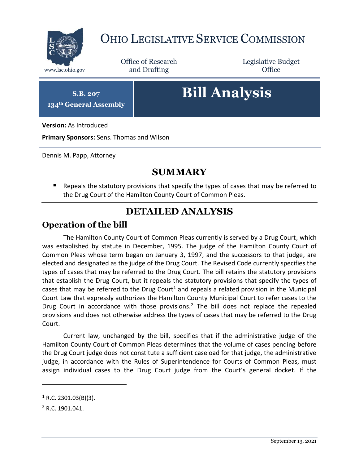

# OHIO LEGISLATIVE SERVICE COMMISSION

Office of Research www.lsc.ohio.gov **and Drafting Office** 

Legislative Budget

**S.B. 207**

**134th General Assembly**

# **Bill Analysis**

**Version:** As Introduced

**Primary Sponsors:** Sens. Thomas and Wilson

Dennis M. Papp, Attorney

# **SUMMARY**

**E** Repeals the statutory provisions that specify the types of cases that may be referred to the Drug Court of the Hamilton County Court of Common Pleas.

### **DETAILED ANALYSIS**

#### **Operation of the bill**

The Hamilton County Court of Common Pleas currently is served by a Drug Court, which was established by statute in December, 1995. The judge of the Hamilton County Court of Common Pleas whose term began on January 3, 1997, and the successors to that judge, are elected and designated as the judge of the Drug Court. The Revised Code currently specifies the types of cases that may be referred to the Drug Court. The bill retains the statutory provisions that establish the Drug Court, but it repeals the statutory provisions that specify the types of cases that may be referred to the Drug Court<sup>1</sup> and repeals a related provision in the Municipal Court Law that expressly authorizes the Hamilton County Municipal Court to refer cases to the Drug Court in accordance with those provisions.<sup>2</sup> The bill does not replace the repealed provisions and does not otherwise address the types of cases that may be referred to the Drug Court.

Current law, unchanged by the bill, specifies that if the administrative judge of the Hamilton County Court of Common Pleas determines that the volume of cases pending before the Drug Court judge does not constitute a sufficient caseload for that judge, the administrative judge, in accordance with the Rules of Superintendence for Courts of Common Pleas, must assign individual cases to the Drug Court judge from the Court's general docket. If the

 $\overline{a}$ 

 $1$  R.C. 2301.03(B)(3).

<sup>2</sup> R.C. 1901.041.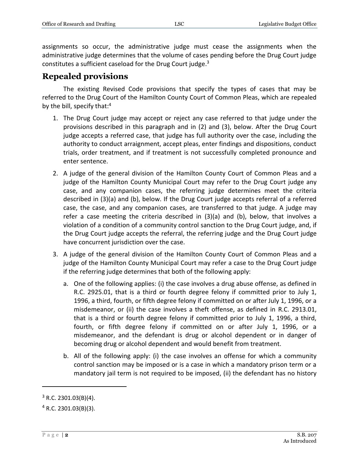assignments so occur, the administrative judge must cease the assignments when the administrative judge determines that the volume of cases pending before the Drug Court judge constitutes a sufficient caseload for the Drug Court judge. $3$ 

#### **Repealed provisions**

The existing Revised Code provisions that specify the types of cases that may be referred to the Drug Court of the Hamilton County Court of Common Pleas, which are repealed by the bill, specify that:<sup>4</sup>

- 1. The Drug Court judge may accept or reject any case referred to that judge under the provisions described in this paragraph and in (2) and (3), below. After the Drug Court judge accepts a referred case, that judge has full authority over the case, including the authority to conduct arraignment, accept pleas, enter findings and dispositions, conduct trials, order treatment, and if treatment is not successfully completed pronounce and enter sentence.
- 2. A judge of the general division of the Hamilton County Court of Common Pleas and a judge of the Hamilton County Municipal Court may refer to the Drug Court judge any case, and any companion cases, the referring judge determines meet the criteria described in (3)(a) and (b), below. If the Drug Court judge accepts referral of a referred case, the case, and any companion cases, are transferred to that judge. A judge may refer a case meeting the criteria described in (3)(a) and (b), below, that involves a violation of a condition of a community control sanction to the Drug Court judge, and, if the Drug Court judge accepts the referral, the referring judge and the Drug Court judge have concurrent jurisdiction over the case.
- 3. A judge of the general division of the Hamilton County Court of Common Pleas and a judge of the Hamilton County Municipal Court may refer a case to the Drug Court judge if the referring judge determines that both of the following apply:
	- a. One of the following applies: (i) the case involves a drug abuse offense, as defined in R.C. 2925.01, that is a third or fourth degree felony if committed prior to July 1, 1996, a third, fourth, or fifth degree felony if committed on or after July 1, 1996, or a misdemeanor, or (ii) the case involves a theft offense, as defined in R.C. 2913.01, that is a third or fourth degree felony if committed prior to July 1, 1996, a third, fourth, or fifth degree felony if committed on or after July 1, 1996, or a misdemeanor, and the defendant is drug or alcohol dependent or in danger of becoming drug or alcohol dependent and would benefit from treatment.
	- b. All of the following apply: (i) the case involves an offense for which a community control sanction may be imposed or is a case in which a mandatory prison term or a mandatory jail term is not required to be imposed, (ii) the defendant has no history

 $\overline{a}$ 

 $3$  R.C. 2301.03(B)(4).

 $4$  R.C. 2301.03(B)(3).